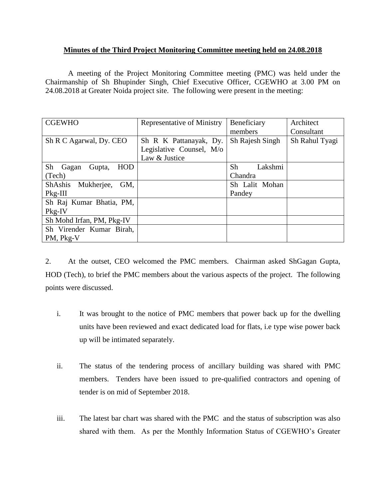## **Minutes of the Third Project Monitoring Committee meeting held on 24.08.2018**

A meeting of the Project Monitoring Committee meeting (PMC) was held under the Chairmanship of Sh Bhupinder Singh, Chief Executive Officer, CGEWHO at 3.00 PM on 24.08.2018 at Greater Noida project site. The following were present in the meeting:

| <b>CGEWHO</b>                       | Representative of Ministry | Beneficiary     | Architect      |
|-------------------------------------|----------------------------|-----------------|----------------|
|                                     |                            | members         | Consultant     |
| Sh R C Agarwal, Dy. CEO             | Sh R K Pattanayak, Dy.     | Sh Rajesh Singh | Sh Rahul Tyagi |
|                                     | Legislative Counsel, M/o   |                 |                |
|                                     | Law & Justice              |                 |                |
| Sh<br><b>HOD</b><br>Gupta,<br>Gagan |                            | Sh<br>Lakshmi   |                |
| (Tech)                              |                            | Chandra         |                |
| ShAshis Mukherjee,<br>GM,           |                            | Sh Lalit Mohan  |                |
| $Pkg-III$                           |                            | Pandey          |                |
| Sh Raj Kumar Bhatia, PM,            |                            |                 |                |
| Pkg-IV                              |                            |                 |                |
| Sh Mohd Irfan, PM, Pkg-IV           |                            |                 |                |
| Sh Virender Kumar Birah,            |                            |                 |                |
| PM, Pkg-V                           |                            |                 |                |

2. At the outset, CEO welcomed the PMC members. Chairman asked ShGagan Gupta, HOD (Tech), to brief the PMC members about the various aspects of the project. The following points were discussed.

- i. It was brought to the notice of PMC members that power back up for the dwelling units have been reviewed and exact dedicated load for flats, i.e type wise power back up will be intimated separately.
- ii. The status of the tendering process of ancillary building was shared with PMC members. Tenders have been issued to pre-qualified contractors and opening of tender is on mid of September 2018.
- iii. The latest bar chart was shared with the PMC and the status of subscription was also shared with them. As per the Monthly Information Status of CGEWHO's Greater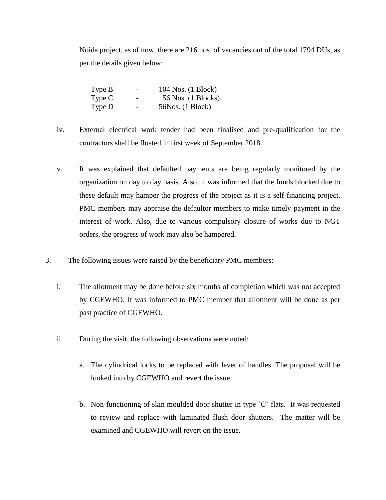Noida project, as of now, there are 216 nos. of vacancies out of the total 1794 DUs, as per the details given below:

| Type B | -                        | 104 Nos. (1 Block) |
|--------|--------------------------|--------------------|
| Type C | $\overline{\phantom{0}}$ | 56 Nos. (1 Blocks) |
| Type D | -                        | 56Nos. (1 Block)   |

- iv. External electrical work tender had been finalised and pre-qualification for the contractors shall be floated in first week of September 2018.
- v. It was explained that defaulted payments are being regularly monitored by the organization on day to day basis. Also, it was informed that the funds blocked due to these default may hamper the progress of the project as it is a self-financing project. PMC members may appraise the defaultor members to make timely payment in the interest of work. Also, due to various compulsory closure of works due to NGT orders, the progress of work may also be hampered.
- 3. The following issues were raised by the beneficiary PMC members:
	- i. The allotment may be done before six months of completion which was not accepted by CGEWHO. It was informed to PMC member that allotment will be done as per past practice of CGEWHO.
	- ii. During the visit, the following observations were noted:
		- a. The cylindrical locks to be replaced with lever of handles. The proposal will be looked into by CGEWHO and revert the issue.
		- b. Non-functioning of skin moulded door shutter in type `C' flats. It was requested to review and replace with laminated flush door shutters. The matter will be examined and CGEWHO will revert on the issue.